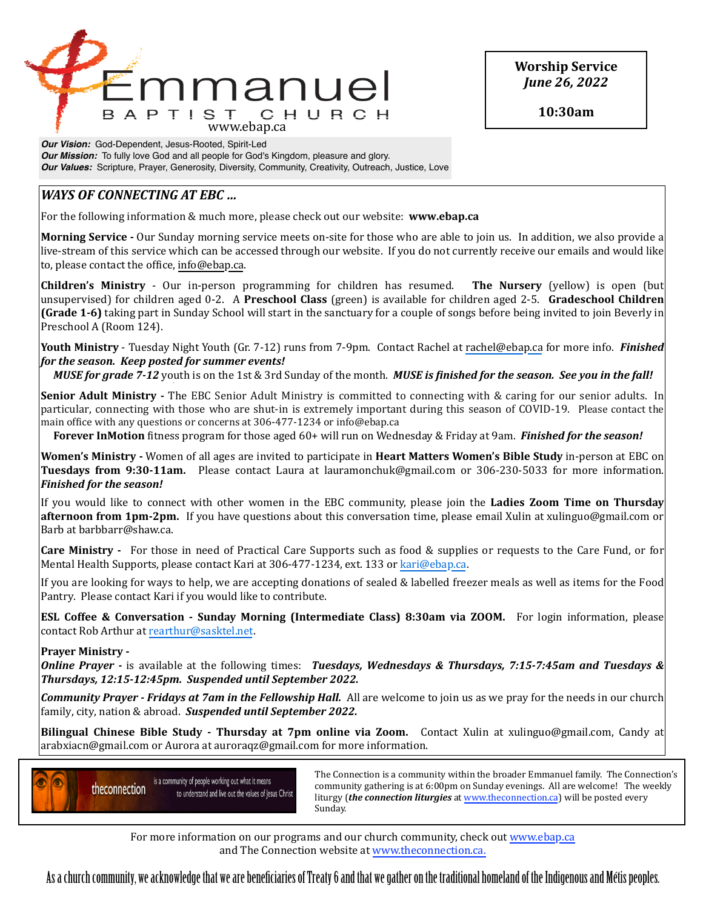

**Worship Service** *June 26, 2022*

**10:30am**

*Our Vision:* God-Dependent, Jesus-Rooted, Spirit-Led *Our Mission:* To fully love God and all people for God's Kingdom, pleasure and glory. *Our Values:* Scripture, Prayer, Generosity, Diversity, Community, Creativity, Outreach, Justice, Love

# *WAYS* OF CONNECTING AT EBC ...

For the following information & much more, please check out our website: **www.ebap.ca** 

**Morning Service** - Our Sunday morning service meets on-site for those who are able to join us. In addition, we also provide a live-stream of this service which can be accessed through our website. If you do not currently receive our emails and would like to, please contact the office, info@ebap.ca.

**Children's Ministry** - Our in-person programming for children has resumed. The Nursery (yellow) is open (but unsupervised) for children aged 0-2. A **Preschool Class** (green) is available for children aged 2-5. **Gradeschool Children (Grade 1-6)** taking part in Sunday School will start in the sanctuary for a couple of songs before being invited to join Beverly in Preschool A (Room 124).

**Youth Ministry** - Tuesday Night Youth (Gr. 7-12) runs from 7-9pm. Contact Rachel at [rachel@ebap.ca](mailto:rachel@ebap.ca) for more info. *Finished* for the season. Keep posted for summer events!

*MUSE* for grade 7-12 youth is on the 1st & 3rd Sunday of the month. *MUSE* is finished for the season. See you in the fall!

**Senior Adult Ministry** - The EBC Senior Adult Ministry is committed to connecting with & caring for our senior adults. In particular, connecting with those who are shut-in is extremely important during this season of COVID-19. Please contact the main office with any questions or concerns at 306-477-1234 or info@ebap.ca

**Forever InMotion** fitness program for those aged 60+ will run on Wednesday & Friday at 9am. *Finished for the season!* 

**Women's Ministry** - Women of all ages are invited to participate in **Heart Matters Women's Bible Study** in-person at EBC on **Tuesdays from 9:30-11am.** Please contact Laura at lauramonchuk@gmail.com or 306-230-5033 for more information. *Finished for the season!* 

If you would like to connect with other women in the EBC community, please join the **Ladies Zoom Time on Thursday afternoon from 1pm-2pm.** If you have questions about this conversation time, please email Xulin at xulinguo@gmail.com or Barb at barbbarr@shaw.ca.

**Care Ministry** - For those in need of Practical Care Supports such as food & supplies or requests to the Care Fund, or for Mental Health Supports, please contact Kari at 306-477-1234, ext. 133 or [kari@ebap.ca.](mailto:kari@ebap.ca)

If you are looking for ways to help, we are accepting donations of sealed & labelled freezer meals as well as items for the Food Pantry. Please contact Kari if you would like to contribute.

**ESL Coffee & Conversation - Sunday Morning (Intermediate Class) 8:30am via ZOOM.** For login information, please contact Rob Arthur at [rearthur@sasktel.net.](mailto:rearthur@sasktel.net)

## **Prayer Ministry -**

*Online Prayer* - is available at the following times: *Tuesdays, Wednesdays & Thursdays, 7:15-7:45am and Tuesdays & Thursdays, 12:15-12:45pm. Suspended until September 2022.* 

**Community Prayer** - Fridays at 7am in the Fellowship Hall. All are welcome to join us as we pray for the needs in our church family, city, nation & abroad. Suspended until September 2022.

**Bilingual Chinese Bible Study - Thursday at 7pm online via Zoom.** Contact Xulin at xulinguo@gmail.com, Candy at arabxiacn@gmail.com or Aurora at auroraqz@gmail.com for more information.



Is a community of people working out what it means<br>
a community are the prima is at 6.00 nm on Sunday ayoning a 11 are yellowned. The yugokly community gathering is at 6:00pm on Sunday evenings. All are welcome! The weekly liturgy (*the connection liturgies* at www.theconnection.ca) will be posted every Sunday. The contract of the contract of the contract of the contract of the contract of the contract of the contract of the contract of the contract of the contract of the contract of the contract of the contract of the co

For more information on our programs and our church community, check out www.ebap.ca and The Connection website at [www.theconnection.ca](http://www.theconnection.ca).

As a church community, we acknowledge that we are benefciaries of Treaty 6 and that we gather on the traditional homeland of the Indigenous and Métis peoples.